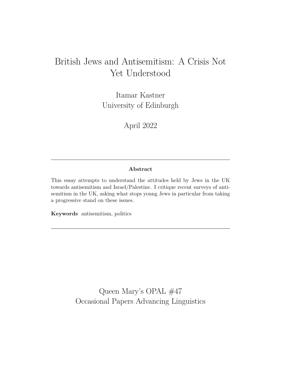# British Jews and Antisemitism: A Crisis Not Yet Understood

Itamar Kastner University of Edinburgh

April 2022

# **Abstract**

This essay attempts to understand the attitudes held by Jews in the UK towards antisemitism and Israel/Palestine. I critique recent surveys of antisemitism in the UK, asking what stops young Jews in particular from taking a progressive stand on these issues.

**Keywords** antisemitism, politics

Queen Mary's OPAL #47 Occasional Papers Advancing Linguistics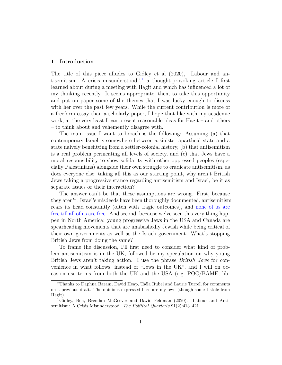# **1 Introduction**

The title of this piece alludes to Gidley et al (2020), "Labour and antisemitism: A crisis misunderstood", a thought-provoking article I first learned about during a meeting with Hagit and which has influenced a lot of my thinking recently. It seems appropriate, then, to take this opportunity and put on paper some of the themes that I was lucky enough to discuss with her over the past few years. While the current contribution is more of a freeform essay than a scholarly paper, I hope that like with my academic work, at the very least I can present reasonable ideas for Hagit – and others – to think about and vehemently disagree with.

The main issue I want to broach is the following: Assuming (a) that contemporary Israel is somewhere between a sinister apartheid state and a state naively benefitting from a settler-colonial history, (b) that antisemitism is a real problem permeating all levels of society, and (c) that Jews have a moral responsibility to show solidarity with other oppressed peoples (especially Palestinians) alongside their own struggle to eradicate antisemitism, as does everyone else; taking all this as our starting point, why aren't British Jews taking a progressive stance regarding antisemitism and Israel, be it as separate issues or their interaction?

The answer can't be that these assumptions are wrong. First, because they aren't: Israel's misdeeds have been thoroughly documented, antisemitism rears its head constantly (often with tragic outcomes), and [none of us are](https://www.lbi.org/collections/walter-plaut/) [free till all of us are free](https://www.lbi.org/collections/walter-plaut/). And second, because we've seen this very thing happen in North America: young progressive Jews in the USA and Canada are spearheading movements that are unabashedly Jewish while being critical of their own governments as well as the Israeli government. What's stopping British Jews from doing the same?

To frame the discussion, I'll first need to consider what kind of problem antisemitism is in the UK, followed by my speculation on why young British Jews aren't taking action. I use the phrase *British Jews* for convenience in what follows, instead of "Jews in the UK", and I will on occasion use terms from both the UK and the USA (e.g. POC/BAME, lib-

<sup>∗</sup>Thanks to Daphna Baram, David Heap, Tséla Rubel and Laurie Turrell for comments on a previous draft. The opinions expressed here are my own (though some I stole from Hagit).

<span id="page-1-0"></span><sup>1</sup>Gidley, Ben, Brendan McGeever and David Feldman (2020). Labour and Antisemitism: A Crisis Misunderstood. *The Political Quarterly* 91(2):413–421.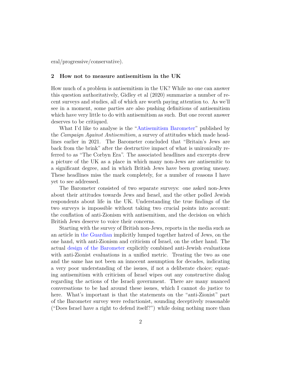eral/progressive/conservative).

#### **2 How not to measure antisemitism in the UK**

How much of a problem is antisemitism in the UK? While no one can answer this question authoritatively, Gidley et al (2020) summarize a number of recent surveys and studies, all of which are worth paying attention to. As we'll see in a moment, some parties are also pushing definitions of antisemitism which have very little to do with antisemitism as such. But one recent answer deserves to be critiqued.

What I'd like to analyse is the "[Antisemitism Barometer"](https://antisemitism.org/barometer/#2020) published by the *Campaign Against Antisemitism*, a survey of attitudes which made headlines earlier in 2021. The Barometer concluded that "Britain's Jews are back from the brink" after the destructive impact of what is unironically referred to as "The Corbyn Era". The associated headlines and excerpts drew a picture of the UK as a place in which many non-Jews are antisemitic to a significant degree, and in which British Jews have been growing uneasy. These headlines miss the mark completely, for a number of reasons I have yet to see addressed.

The Barometer consisted of two separate surveys: one asked non-Jews about their attitudes towards Jews and Israel, and the other polled Jewish respondents about life in the UK. Understanding the true findings of the two surveys is impossible without taking two crucial points into account: the conflation of anti-Zionism with antisemitism, and the decision on which British Jews deserve to voice their concerns.

Starting with the survey of British non-Jews, reports in the media such as an article in [the Guardian](https://www.theguardian.com/news/2021/jan/17/half-of-british-jews-will-not-display-public-sign-of-judaism) implicitly lumped together hatred of Jews, on the one hand, with anti-Zionism and criticism of Israel, on the other hand. The actual [design of the Barometer](https://antisemitism.org/wp-content/uploads/2021/03/Antisemitism-Barometer-2020-3.pdf) explicitly combined anti-Jewish evaluations with anti-Zionist evaluations in a unified metric. Treating the two as one and the same has not been an innocent assumption for decades, indicating a very poor understanding of the issues, if not a deliberate choice; equating antisemitism with criticism of Israel wipes out any constructive dialog regarding the actions of the Israeli government. There are many nuanced conversations to be had around these issues, which I cannot do justice to here. What's important is that the statements on the "anti-Zionist" part of the Barometer survey were reductionist, sounding deceptively reasonable ("Does Israel have a right to defend itself?") while doing nothing more than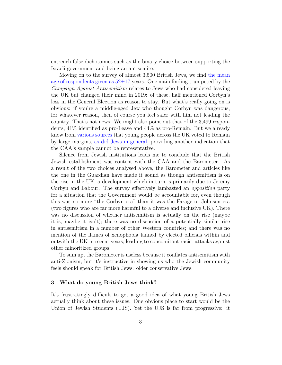entrench false dichotomies such as the binary choice between supporting the Israeli government and being an antisemite.

Moving on to the survey of almost 3,500 British Jews, we find [the mean](https://antisemitism.org/wp-content/uploads/2021/01/Antisemitism-Barometer-Companion-Paper-2020.pdf) age of respondents given as  $52\pm17$  years. One main finding trumpeted by the *Campaign Against Antisemitism* relates to Jews who had considered leaving the UK but changed their mind in 2019: of these, half mentioned Corbyn's loss in the General Election as reason to stay. But what's really going on is obvious: if you're a middle-aged Jew who thought Corbyn was dangerous, for whatever reason, then of course you feel safer with him not leading the country. That's not news. We might also point out that of the 3,499 respondents, 41% identified as pro-Leave and 44% as pro-Remain. But we already know from [various](https://yougov.co.uk/topics/politics/articles-reports/2016/06/27/how-britain-voted) [sources](https://lordashcroftpolls.com/2019/03/a-reminder-of-how-britain-voted-in-the-eu-referendum-and-why/) that young people across the UK voted to Remain by large margins, [as did Jews in general](https://www.haaretz.com/world-news/europe/poll-nearly-60-percent-of-british-jews-voted-to-say-in-eu-1.5404405), providing another indication that the CAA's sample cannot be representative.

Silence from Jewish institutions leads me to conclude that the British Jewish establishment was content with the CAA and the Barometer. As a result of the two choices analysed above, the Barometer and articles like the one in the Guardian have made it sound as though antisemitism is on the rise in the UK, a development which in turn is primarily due to Jeremy Corbyn and Labour. The survey effectively lambasted an *opposition* party for a situation that the Government would be accountable for, even though this was no more "the Corbyn era" than it was the Farage or Johnson era (two figures who are far more harmful to a diverse and inclusive UK). There was no discussion of whether antisemitism is actually on the rise (maybe it is, maybe it isn't); there was no discussion of a potentially similar rise in antisemitism in a number of other Western countries; and there was no mention of the flames of xenophobia fanned by elected officials within and outwith the UK in recent years, leading to concomitant racist attacks against other minoritized groups.

To sum up, the Barometer is useless because it conflates antisemitism with anti-Zionism, but it's instructive in showing us who the Jewish community feels should speak for British Jews: older conservative Jews.

### **3 What do young British Jews think?**

It's frustratingly difficult to get a good idea of what young British Jews actually think about these issues. One obvious place to start would be the Union of Jewish Students (UJS). Yet the UJS is far from progressive: it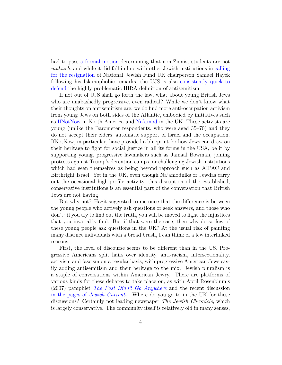had to pass [a formal motion](https://www.thejc.com/news/news/ujs-votes-to-make-non-zionists-feel-welcome-in-jsocs-1paaejZ0dIsJwZtOdz3yth) determining that non-Zionist students are not *muktzeh*, and while it did fall in line with other Jewish institutions in [calling](https://www.ujs.org.uk/jewish_students_take_a_stand_against_islamophobia) [for the resignation](https://www.ujs.org.uk/jewish_students_take_a_stand_against_islamophobia) of National Jewish Fund UK chairperson Samuel Hayek following his Islamophobic remarks, the UJS is also [consistently quick to](https://www.thenational.scot/news/19860297.edinburgh-university-row-definition-antisemitism-adopted-institution/) [defend](https://www.thenational.scot/news/19860297.edinburgh-university-row-definition-antisemitism-adopted-institution/) the highly problematic IHRA definition of antisemitism.

If not out of UJS shall go forth the law, what about young British Jews who are unabashedly progressive, even radical? While we don't know what their thoughts on antisemitism are, we do find more anti-occupation activism from young Jews on both sides of the Atlantic, embodied by initiatives such as [IfNotNow](https://www.ifnotnowmovement.org/) in North America and [Na'amod](https://naamod.org.uk/) in the UK. These activists are young (unlike the Barometer respondents, who were aged 35–70) and they do not accept their elders' automatic support of Israel and the occupation. IfNotNow, in particular, have provided a blueprint for how Jews can draw on their heritage to fight for social justice in all its forms in the USA, be it by supporting young, progressive lawmakers such as Jamaal Bowman, joining protests against Trump's detention camps, or challenging Jewish institutions which had seen themselves as being beyond reproach such as AIPAC and Birthright Israel. Yet in the UK, even though Na'amodniks or Jewdas carry out the occasional high-profile activity, this disruption of the established, conservative institutions is an essential part of the conversation that British Jews are not having.

But why not? Hagit suggested to me once that the difference is between the young people who actively ask questions or seek answers, and those who don't: if you try to find out the truth, you will be moved to fight the injustices that you invariably find. But if that were the case, then why do so few of these young people ask questions in the UK? At the usual risk of painting many distinct individuals with a broad brush, I can think of a few interlinked reasons.

First, the level of discourse seems to be different than in the US. Progressive Americans split hairs over identity, anti-racism, intersectionality, activism and fascism on a regular basis, with progressive American Jews easily adding antisemitism and their heritage to the mix. Jewish pluralism is a staple of conversations within American Jewry. There are platforms of various kinds for these debates to take place on, as with April Rosenblum's (2007) pamphlet *[The Past Didn't Go Anywhere](https://www.aprilrosenblum.com/thepast)* and the recent discussion in the pages of *[Jewish Currents](https://jewishcurrents.org/letters-to-the-editor-how-not-to-fight-antisemitism/)*. Where do you go to in the UK for these discussions? Certainly not leading newspaper *The Jewish Chronicle*, which is largely conservative. The community itself is relatively old in many senses,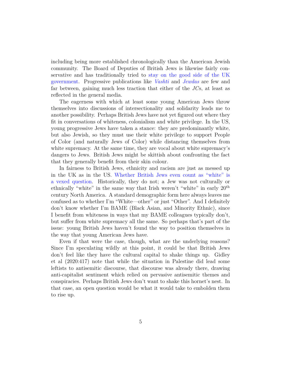including being more established chronologically than the American Jewish community. The Board of Deputies of British Jews is likewise fairly conservative and has traditionally tried to [stay on the good side of the UK](https://www.heyalma.com/what-we-can-learn-from-the-43-group-the-british-jewish-anti-fascist-collective/) [government](https://www.heyalma.com/what-we-can-learn-from-the-43-group-the-british-jewish-anti-fascist-collective/). Progressive publications like *[Vashti](https://vashtimedia.com/)* and *[Jewdas](https://www.jewdas.org/)* are few and far between, gaining much less traction that either of the *JC*s, at least as reflected in the general media.

The eagerness with which at least some young American Jews throw themselves into discussions of intersectionality and solidarity leads me to another possibility. Perhaps British Jews have not yet figured out where they fit in conversations of whiteness, colonialism and white privilege. In the US, young progressive Jews have taken a stance: they are predominantly white, but also Jewish, so they must use their white privilege to support People of Color (and naturally Jews of Color) while distancing themselves from white supremacy. At the same time, they are vocal about white supremacy's dangers to Jews. British Jews might be skittish about confronting the fact that they generally benefit from their skin colour.

In fairness to British Jews, ethnicity and racism are just as messed up in the UK as in the US. [Whether British Jews even count as "white" is](https://www.jewdas.org/aging-liberal-confuses-self-blames-left/) [a vexed question](https://www.jewdas.org/aging-liberal-confuses-self-blames-left/). Historically, they do not; a Jew was not culturally or ethnically "white" in the same way that Irish weren't "white" in early  $20<sup>th</sup>$ century North America. A standard demographic form here always leaves me confused as to whether I'm "White—other" or just "Other". And I definitely don't know whether I'm BAME (Black Asian, and Minority Ethnic), since I benefit from whiteness in ways that my BAME colleagues typically don't, but suffer from white supremacy all the same. So perhaps that's part of the issue: young British Jews haven't found the way to position themselves in the way that young American Jews have.

Even if that were the case, though, what are the underlying reasons? Since I'm speculating wildly at this point, it could be that British Jews don't feel like they have the cultural capital to shake things up. Gidley et al (2020:417) note that while the situation in Palestine did lead some leftists to antisemitic discourse, that discourse was already there, drawing anti-capitalist sentiment which relied on pervasive antisemitic themes and conspiracies. Perhaps British Jews don't want to shake this hornet's nest. In that case, an open question would be what it would take to embolden them to rise up.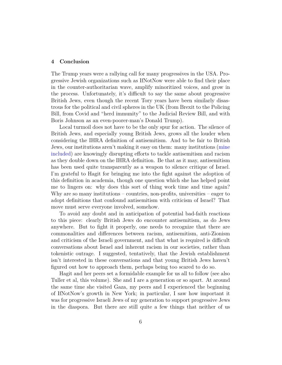# **4 Conclusion**

The Trump years were a rallying call for many progressives in the USA. Progressive Jewish organizations such as IfNotNow were able to find their place in the counter-authoritarian wave, amplify minoritized voices, and grow in the process. Unfortunately, it's difficult to say the same about progressive British Jews, even though the recent Tory years have been similarly disastrous for the political and civil spheres in the UK (from Brexit to the Policing Bill, from Covid and "herd immunity" to the Judicial Review Bill, and with Boris Johnson as an even-poorer-man's Donald Trump).

Local turmoil does not have to be the only spur for action. The silence of British Jews, and especially young British Jews, grows all the louder when considering the IHRA definition of antisemitism. And to be fair to British Jews, our institutions aren't making it easy on them: many institutions ([mine](https://www.ucuedinburgh.org.uk/s/Finalised-UoE-UCU-IHRA-public-letter-Jan-2022-1.pdf) [included\)](https://www.ucuedinburgh.org.uk/s/Finalised-UoE-UCU-IHRA-public-letter-Jan-2022-1.pdf) are knowingly disrupting efforts to tackle antisemitism and racism as they double down on the IHRA definition. Be that as it may, antisemitism has been used quite transparently as a weapon to silence critique of Israel. I'm grateful to Hagit for bringing me into the fight against the adoption of this definition in academia, though one question which she has helped point me to lingers on: why does this sort of thing work time and time again? Why are so many institutions – countries, non-profits, universities – eager to adopt definitions that confound antisemitism with criticism of Israel? That move must serve everyone involved, somehow.

To avoid any doubt and in anticipation of potential bad-faith reactions to this piece: clearly British Jews do encounter antisemitism, as do Jews anywhere. But to fight it properly, one needs to recognize that there are commonalities and differences between racism, antisemitism, anti-Zionism and criticism of the Israeli government, and that what is required is difficult conversations about Israel and inherent racism in our societies, rather than tokenistic outrage. I suggested, tentatively, that the Jewish establishment isn't interested in these conversations and that young British Jews haven't figured out how to approach them, perhaps being too scared to do so.

Hagit and her peers set a formidable example for us all to follow (see also Tuller et al, this volume). She and I are a generation or so apart. At around the same time she visited Gaza, my peers and I experienced the beginning of IfNotNow's growth in New York; in particular, I saw how important it was for progressive Israeli Jews of my generation to support progressive Jews in the diaspora. But there are still quite a few things that neither of us